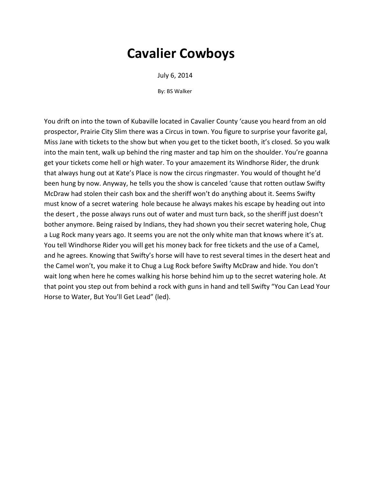July 6, 2014

By: BS Walker

You drift on into the town of Kubaville located in Cavalier County 'cause you heard from an old prospector, Prairie City Slim there was a Circus in town. You figure to surprise your favorite gal, Miss Jane with tickets to the show but when you get to the ticket booth, it's closed. So you walk into the main tent, walk up behind the ring master and tap him on the shoulder. You're goanna get your tickets come hell or high water. To your amazement its Windhorse Rider, the drunk that always hung out at Kate's Place is now the circus ringmaster. You would of thought he'd been hung by now. Anyway, he tells you the show is canceled 'cause that rotten outlaw Swifty McDraw had stolen their cash box and the sheriff won't do anything about it. Seems Swifty must know of a secret watering hole because he always makes his escape by heading out into the desert , the posse always runs out of water and must turn back, so the sheriff just doesn't bother anymore. Being raised by Indians, they had shown you their secret watering hole, Chug a Lug Rock many years ago. It seems you are not the only white man that knows where it's at. You tell Windhorse Rider you will get his money back for free tickets and the use of a Camel, and he agrees. Knowing that Swifty's horse will have to rest several times in the desert heat and the Camel won't, you make it to Chug a Lug Rock before Swifty McDraw and hide. You don't wait long when here he comes walking his horse behind him up to the secret watering hole. At that point you step out from behind a rock with guns in hand and tell Swifty "You Can Lead Your Horse to Water, But You'll Get Lead" (led).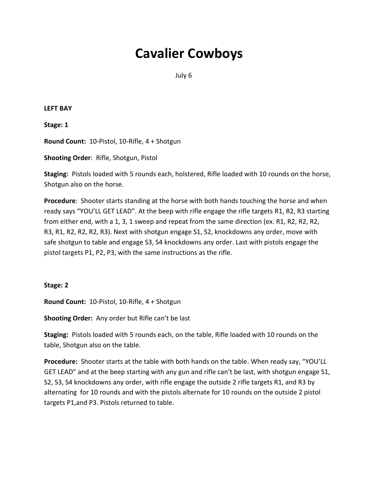July 6

#### **LEFT BAY**

**Stage: 1**

**Round Count:** 10-Pistol, 10-Rifle, 4 + Shotgun

**Shooting Order**: Rifle, Shotgun, Pistol

**Staging:** Pistols loaded with 5 rounds each, holstered, Rifle loaded with 10 rounds on the horse, Shotgun also on the horse.

**Procedure**: Shooter starts standing at the horse with both hands touching the horse and when ready says "YOU'LL GET LEAD". At the beep with rifle engage the rifle targets R1, R2, R3 starting from either end, with a 1, 3, 1 sweep and repeat from the same direction (ex. R1, R2, R2, R2, R3, R1, R2, R2, R2, R3). Next with shotgun engage S1, S2, knockdowns any order, move with safe shotgun to table and engage S3, S4 knockdowns any order. Last with pistols engage the pistol targets P1, P2, P3, with the same instructions as the rifle.

### **Stage: 2**

**Round Count:** 10-Pistol, 10-Rifle, 4 + Shotgun

**Shooting Order:** Any order but Rifle can't be last

**Staging:** Pistols loaded with 5 rounds each, on the table, Rifle loaded with 10 rounds on the table, Shotgun also on the table.

**Procedure:** Shooter starts at the table with both hands on the table. When ready say, "YOU'LL GET LEAD" and at the beep starting with any gun and rifle can't be last, with shotgun engage S1, S2, S3, S4 knockdowns any order, with rifle engage the outside 2 rifle targets R1, and R3 by alternating for 10 rounds and with the pistols alternate for 10 rounds on the outside 2 pistol targets P1,and P3. Pistols returned to table.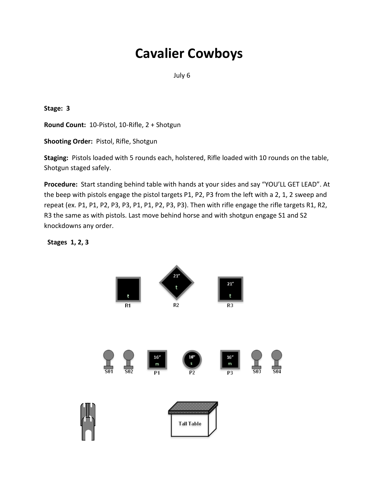July 6

**Stage: 3**

**Round Count:** 10-Pistol, 10-Rifle, 2 + Shotgun

**Shooting Order:** Pistol, Rifle, Shotgun

**Staging:** Pistols loaded with 5 rounds each, holstered, Rifle loaded with 10 rounds on the table, Shotgun staged safely.

**Procedure:** Start standing behind table with hands at your sides and say "YOU'LL GET LEAD". At the beep with pistols engage the pistol targets P1, P2, P3 from the left with a 2, 1, 2 sweep and repeat (ex. P1, P1, P2, P3, P3, P1, P1, P2, P3, P3). Then with rifle engage the rifle targets R1, R2, R3 the same as with pistols. Last move behind horse and with shotgun engage S1 and S2 knockdowns any order.

 **Stages 1, 2, 3** 

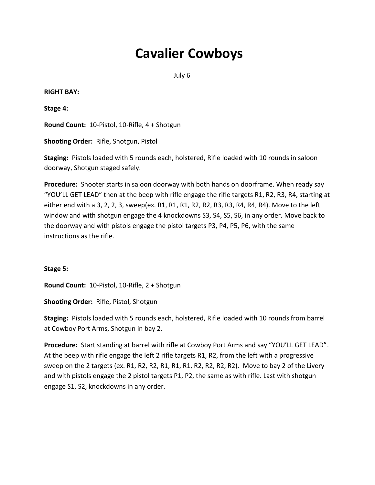July 6

#### **RIGHT BAY:**

**Stage 4:**

**Round Count:** 10-Pistol, 10-Rifle, 4 + Shotgun

**Shooting Order:** Rifle, Shotgun, Pistol

**Staging:** Pistols loaded with 5 rounds each, holstered, Rifle loaded with 10 rounds in saloon doorway, Shotgun staged safely.

**Procedure:** Shooter starts in saloon doorway with both hands on doorframe. When ready say "YOU'LL GET LEAD" then at the beep with rifle engage the rifle targets R1, R2, R3, R4, starting at either end with a 3, 2, 2, 3, sweep(ex. R1, R1, R1, R2, R2, R3, R3, R4, R4, R4). Move to the left window and with shotgun engage the 4 knockdowns S3, S4, S5, S6, in any order. Move back to the doorway and with pistols engage the pistol targets P3, P4, P5, P6, with the same instructions as the rifle.

### **Stage 5:**

**Round Count:** 10-Pistol, 10-Rifle, 2 + Shotgun

**Shooting Order:** Rifle, Pistol, Shotgun

**Staging:** Pistols loaded with 5 rounds each, holstered, Rifle loaded with 10 rounds from barrel at Cowboy Port Arms, Shotgun in bay 2.

**Procedure:** Start standing at barrel with rifle at Cowboy Port Arms and say "YOU'LL GET LEAD". At the beep with rifle engage the left 2 rifle targets R1, R2, from the left with a progressive sweep on the 2 targets (ex. R1, R2, R2, R1, R1, R1, R2, R2, R2, R2). Move to bay 2 of the Livery and with pistols engage the 2 pistol targets P1, P2, the same as with rifle. Last with shotgun engage S1, S2, knockdowns in any order.